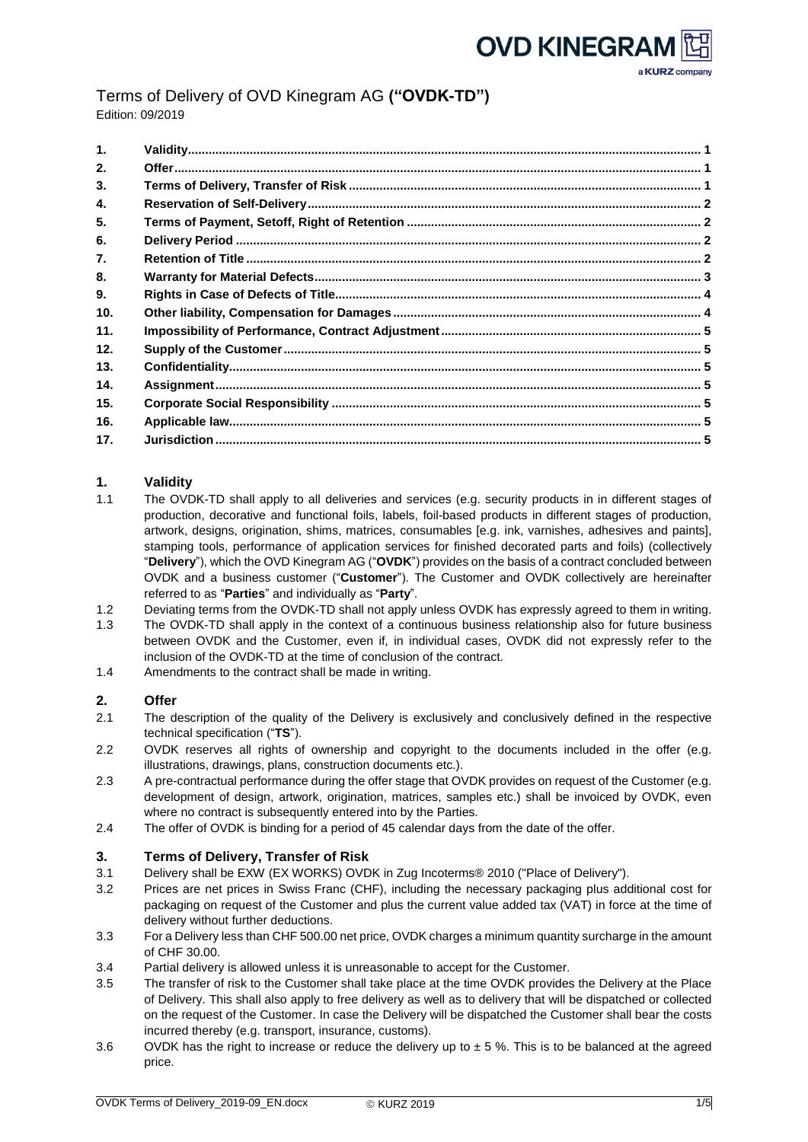Terms of Delivery of OVD Kinegram AG **("OVDK-TD")** Edition: 09/2019

| $\mathbf{1}$ . |  |
|----------------|--|
| 2.             |  |
| 3.             |  |
| 4.             |  |
| 5.             |  |
| 6.             |  |
| 7.             |  |
| 8.             |  |
| 9.             |  |
| 10.            |  |
| 11.            |  |
| 12.            |  |
| 13.            |  |
| 14.            |  |
| 15.            |  |
| 16.            |  |
| 17.            |  |

# <span id="page-0-0"></span>**1. Validity**

- 1.1 The OVDK-TD shall apply to all deliveries and services (e.g. security products in in different stages of production, decorative and functional foils, labels, foil-based products in different stages of production, artwork, designs, origination, shims, matrices, consumables [e.g. ink, varnishes, adhesives and paints], stamping tools, performance of application services for finished decorated parts and foils) (collectively "**Delivery**"), which the OVD Kinegram AG ("**OVDK**") provides on the basis of a contract concluded between OVDK and a business customer ("**Customer**"). The Customer and OVDK collectively are hereinafter referred to as "**Parties**" and individually as "**Party**".
- 1.2 Deviating terms from the OVDK-TD shall not apply unless OVDK has expressly agreed to them in writing.
- 1.3 The OVDK-TD shall apply in the context of a continuous business relationship also for future business between OVDK and the Customer, even if, in individual cases, OVDK did not expressly refer to the inclusion of the OVDK-TD at the time of conclusion of the contract.
- 1.4 Amendments to the contract shall be made in writing.

## <span id="page-0-1"></span>**2. Offer**

- 2.1 The description of the quality of the Delivery is exclusively and conclusively defined in the respective technical specification ("**TS**").
- 2.2 OVDK reserves all rights of ownership and copyright to the documents included in the offer (e.g. illustrations, drawings, plans, construction documents etc.).
- 2.3 A pre-contractual performance during the offer stage that OVDK provides on request of the Customer (e.g. development of design, artwork, origination, matrices, samples etc.) shall be invoiced by OVDK, even where no contract is subsequently entered into by the Parties.
- 2.4 The offer of OVDK is binding for a period of 45 calendar days from the date of the offer.

## <span id="page-0-2"></span>**3. Terms of Delivery, Transfer of Risk**

- 3.1 Delivery shall be EXW (EX WORKS) OVDK in Zug Incoterms® 2010 ("Place of Delivery").
- 3.2 Prices are net prices in Swiss Franc (CHF), including the necessary packaging plus additional cost for packaging on request of the Customer and plus the current value added tax (VAT) in force at the time of delivery without further deductions.
- 3.3 For a Delivery less than CHF 500.00 net price, OVDK charges a minimum quantity surcharge in the amount of CHF 30.00.
- 3.4 Partial delivery is allowed unless it is unreasonable to accept for the Customer.
- 3.5 The transfer of risk to the Customer shall take place at the time OVDK provides the Delivery at the Place of Delivery. This shall also apply to free delivery as well as to delivery that will be dispatched or collected on the request of the Customer. In case the Delivery will be dispatched the Customer shall bear the costs incurred thereby (e.g. transport, insurance, customs).
- 3.6 OVDK has the right to increase or reduce the delivery up to  $\pm$  5 %. This is to be balanced at the agreed price.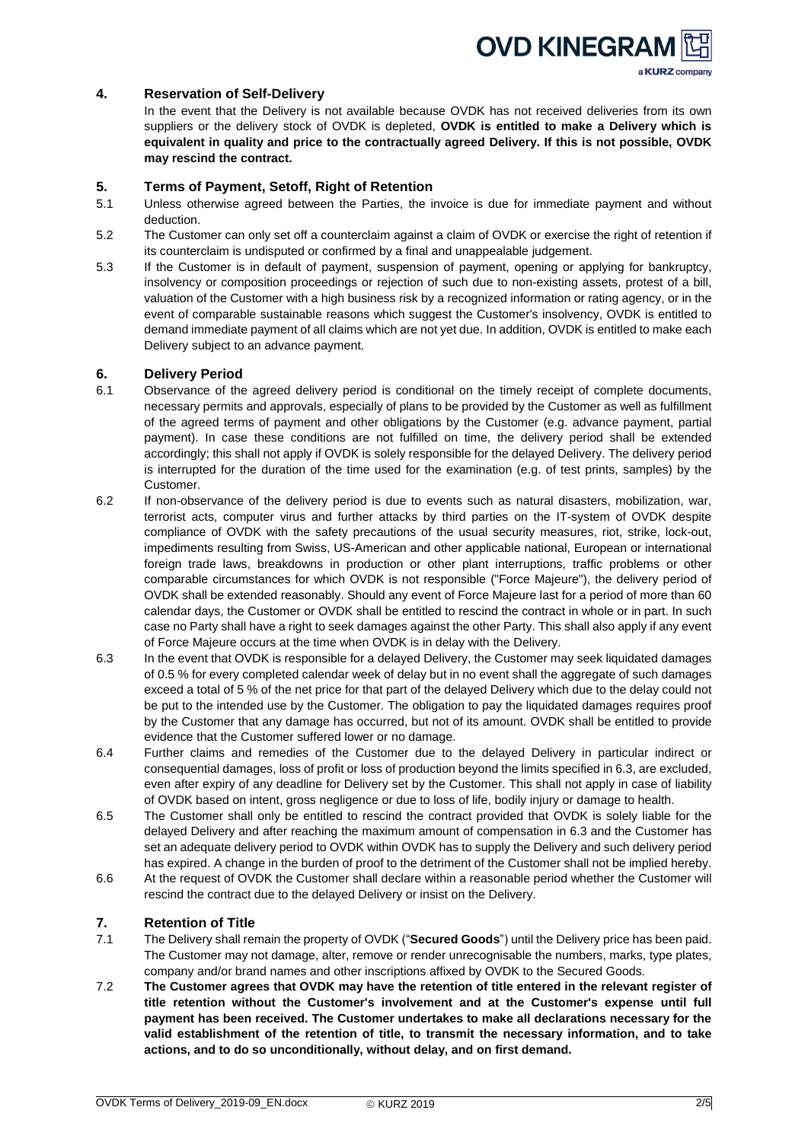

## <span id="page-1-0"></span>**4. Reservation of Self-Delivery**

In the event that the Delivery is not available because OVDK has not received deliveries from its own suppliers or the delivery stock of OVDK is depleted, **OVDK is entitled to make a Delivery which is equivalent in quality and price to the contractually agreed Delivery. If this is not possible, OVDK may rescind the contract.**

### <span id="page-1-1"></span>**5. Terms of Payment, Setoff, Right of Retention**

- 5.1 Unless otherwise agreed between the Parties, the invoice is due for immediate payment and without deduction.
- 5.2 The Customer can only set off a counterclaim against a claim of OVDK or exercise the right of retention if its counterclaim is undisputed or confirmed by a final and unappealable judgement.
- 5.3 If the Customer is in default of payment, suspension of payment, opening or applying for bankruptcy, insolvency or composition proceedings or rejection of such due to non-existing assets, protest of a bill, valuation of the Customer with a high business risk by a recognized information or rating agency, or in the event of comparable sustainable reasons which suggest the Customer's insolvency, OVDK is entitled to demand immediate payment of all claims which are not yet due. In addition, OVDK is entitled to make each Delivery subject to an advance payment.

### <span id="page-1-2"></span>**6. Delivery Period**

- 6.1 Observance of the agreed delivery period is conditional on the timely receipt of complete documents, necessary permits and approvals, especially of plans to be provided by the Customer as well as fulfillment of the agreed terms of payment and other obligations by the Customer (e.g. advance payment, partial payment). In case these conditions are not fulfilled on time, the delivery period shall be extended accordingly; this shall not apply if OVDK is solely responsible for the delayed Delivery. The delivery period is interrupted for the duration of the time used for the examination (e.g. of test prints, samples) by the Customer.
- 6.2 If non-observance of the delivery period is due to events such as natural disasters, mobilization, war, terrorist acts, computer virus and further attacks by third parties on the IT-system of OVDK despite compliance of OVDK with the safety precautions of the usual security measures, riot, strike, lock-out, impediments resulting from Swiss, US-American and other applicable national, European or international foreign trade laws, breakdowns in production or other plant interruptions, traffic problems or other comparable circumstances for which OVDK is not responsible ("Force Majeure"), the delivery period of OVDK shall be extended reasonably. Should any event of Force Majeure last for a period of more than 60 calendar days, the Customer or OVDK shall be entitled to rescind the contract in whole or in part. In such case no Party shall have a right to seek damages against the other Party. This shall also apply if any event of Force Majeure occurs at the time when OVDK is in delay with the Delivery.
- 6.3 In the event that OVDK is responsible for a delayed Delivery, the Customer may seek liquidated damages of 0.5 % for every completed calendar week of delay but in no event shall the aggregate of such damages exceed a total of 5 % of the net price for that part of the delayed Delivery which due to the delay could not be put to the intended use by the Customer. The obligation to pay the liquidated damages requires proof by the Customer that any damage has occurred, but not of its amount. OVDK shall be entitled to provide evidence that the Customer suffered lower or no damage.
- 6.4 Further claims and remedies of the Customer due to the delayed Delivery in particular indirect or consequential damages, loss of profit or loss of production beyond the limits specified in 6.3, are excluded, even after expiry of any deadline for Delivery set by the Customer. This shall not apply in case of liability of OVDK based on intent, gross negligence or due to loss of life, bodily injury or damage to health.
- 6.5 The Customer shall only be entitled to rescind the contract provided that OVDK is solely liable for the delayed Delivery and after reaching the maximum amount of compensation in 6.3 and the Customer has set an adequate delivery period to OVDK within OVDK has to supply the Delivery and such delivery period has expired. A change in the burden of proof to the detriment of the Customer shall not be implied hereby.
- 6.6 At the request of OVDK the Customer shall declare within a reasonable period whether the Customer will rescind the contract due to the delayed Delivery or insist on the Delivery.

## <span id="page-1-3"></span>**7. Retention of Title**

- 7.1 The Delivery shall remain the property of OVDK ("**Secured Goods**") until the Delivery price has been paid. The Customer may not damage, alter, remove or render unrecognisable the numbers, marks, type plates, company and/or brand names and other inscriptions affixed by OVDK to the Secured Goods.
- 7.2 **The Customer agrees that OVDK may have the retention of title entered in the relevant register of title retention without the Customer's involvement and at the Customer's expense until full payment has been received. The Customer undertakes to make all declarations necessary for the valid establishment of the retention of title, to transmit the necessary information, and to take actions, and to do so unconditionally, without delay, and on first demand.**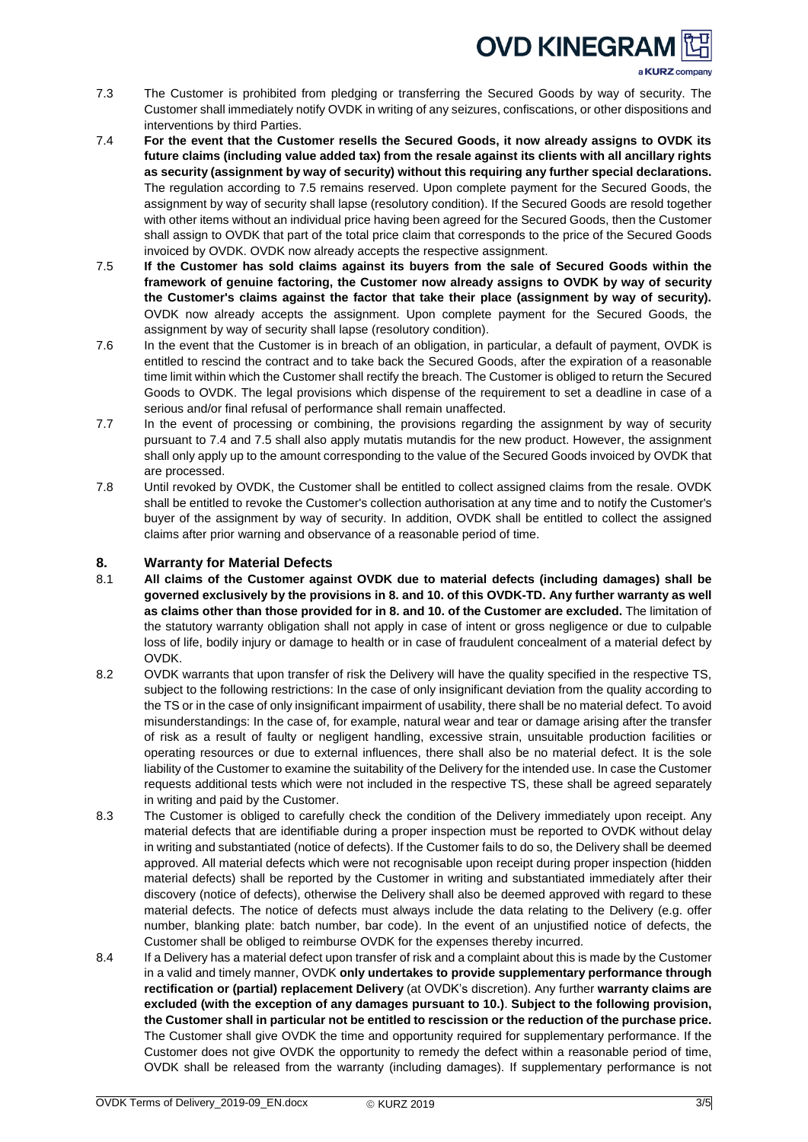# **OVD KINEGRAN**

a KURZ company

- 7.3 The Customer is prohibited from pledging or transferring the Secured Goods by way of security. The Customer shall immediately notify OVDK in writing of any seizures, confiscations, or other dispositions and interventions by third Parties.
- 7.4 **For the event that the Customer resells the Secured Goods, it now already assigns to OVDK its future claims (including value added tax) from the resale against its clients with all ancillary rights as security (assignment by way of security) without this requiring any further special declarations.** The regulation according to 7.5 remains reserved. Upon complete payment for the Secured Goods, the assignment by way of security shall lapse (resolutory condition). If the Secured Goods are resold together with other items without an individual price having been agreed for the Secured Goods, then the Customer shall assign to OVDK that part of the total price claim that corresponds to the price of the Secured Goods invoiced by OVDK. OVDK now already accepts the respective assignment.
- 7.5 **If the Customer has sold claims against its buyers from the sale of Secured Goods within the framework of genuine factoring, the Customer now already assigns to OVDK by way of security the Customer's claims against the factor that take their place (assignment by way of security).** OVDK now already accepts the assignment. Upon complete payment for the Secured Goods, the assignment by way of security shall lapse (resolutory condition).
- 7.6 In the event that the Customer is in breach of an obligation, in particular, a default of payment, OVDK is entitled to rescind the contract and to take back the Secured Goods, after the expiration of a reasonable time limit within which the Customer shall rectify the breach. The Customer is obliged to return the Secured Goods to OVDK. The legal provisions which dispense of the requirement to set a deadline in case of a serious and/or final refusal of performance shall remain unaffected.
- 7.7 In the event of processing or combining, the provisions regarding the assignment by way of security pursuant to 7.4 and 7.5 shall also apply mutatis mutandis for the new product. However, the assignment shall only apply up to the amount corresponding to the value of the Secured Goods invoiced by OVDK that are processed.
- 7.8 Until revoked by OVDK, the Customer shall be entitled to collect assigned claims from the resale. OVDK shall be entitled to revoke the Customer's collection authorisation at any time and to notify the Customer's buyer of the assignment by way of security. In addition, OVDK shall be entitled to collect the assigned claims after prior warning and observance of a reasonable period of time.

# <span id="page-2-0"></span>**8. Warranty for Material Defects**

- 8.1 **All claims of the Customer against OVDK due to material defects (including damages) shall be governed exclusively by the provisions in 8. and 10. of this OVDK-TD. Any further warranty as well as claims other than those provided for in 8. and 10. of the Customer are excluded.** The limitation of the statutory warranty obligation shall not apply in case of intent or gross negligence or due to culpable loss of life, bodily injury or damage to health or in case of fraudulent concealment of a material defect by OVDK.
- 8.2 OVDK warrants that upon transfer of risk the Delivery will have the quality specified in the respective TS, subject to the following restrictions: In the case of only insignificant deviation from the quality according to the TS or in the case of only insignificant impairment of usability, there shall be no material defect. To avoid misunderstandings: In the case of, for example, natural wear and tear or damage arising after the transfer of risk as a result of faulty or negligent handling, excessive strain, unsuitable production facilities or operating resources or due to external influences, there shall also be no material defect. It is the sole liability of the Customer to examine the suitability of the Delivery for the intended use. In case the Customer requests additional tests which were not included in the respective TS, these shall be agreed separately in writing and paid by the Customer.
- 8.3 The Customer is obliged to carefully check the condition of the Delivery immediately upon receipt. Any material defects that are identifiable during a proper inspection must be reported to OVDK without delay in writing and substantiated (notice of defects). If the Customer fails to do so, the Delivery shall be deemed approved. All material defects which were not recognisable upon receipt during proper inspection (hidden material defects) shall be reported by the Customer in writing and substantiated immediately after their discovery (notice of defects), otherwise the Delivery shall also be deemed approved with regard to these material defects. The notice of defects must always include the data relating to the Delivery (e.g. offer number, blanking plate: batch number, bar code). In the event of an unjustified notice of defects, the Customer shall be obliged to reimburse OVDK for the expenses thereby incurred.
- 8.4 If a Delivery has a material defect upon transfer of risk and a complaint about this is made by the Customer in a valid and timely manner, OVDK **only undertakes to provide supplementary performance through rectification or (partial) replacement Delivery** (at OVDK's discretion). Any further **warranty claims are excluded (with the exception of any damages pursuant to 10.)**. **Subject to the following provision, the Customer shall in particular not be entitled to rescission or the reduction of the purchase price.** The Customer shall give OVDK the time and opportunity required for supplementary performance. If the Customer does not give OVDK the opportunity to remedy the defect within a reasonable period of time, OVDK shall be released from the warranty (including damages). If supplementary performance is not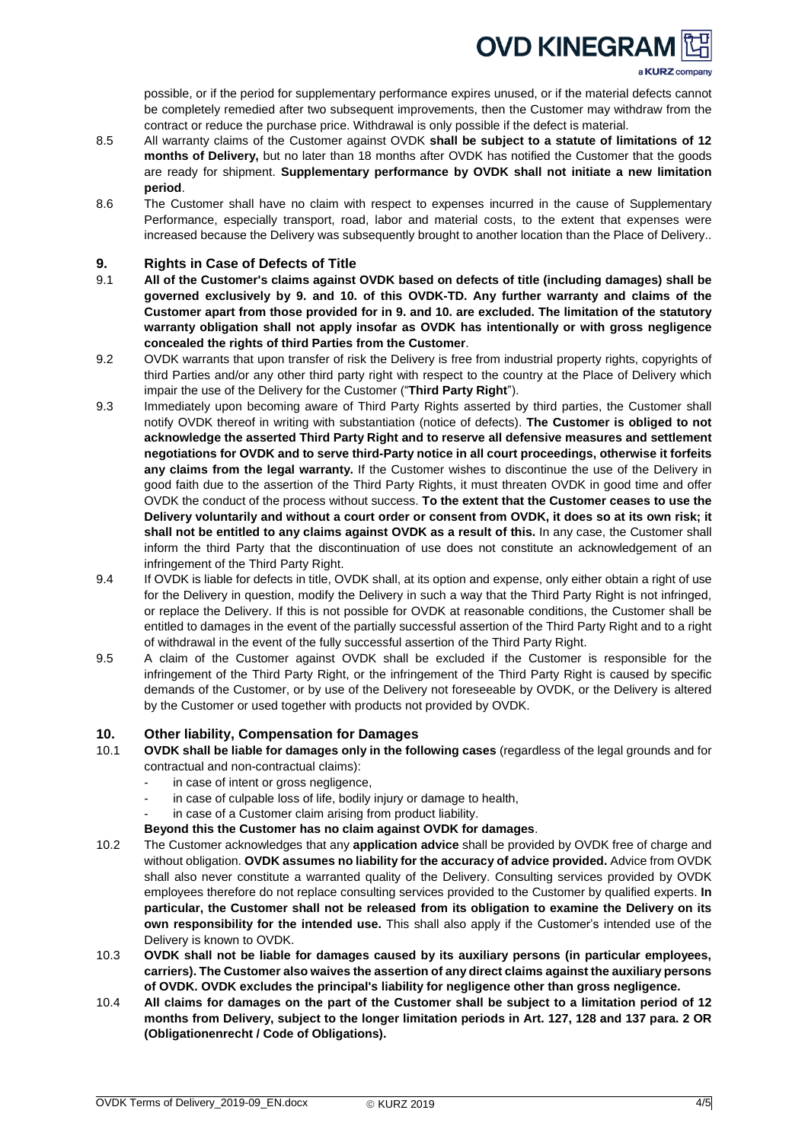# **OVD KINEGRAN**

a KURZ company

possible, or if the period for supplementary performance expires unused, or if the material defects cannot be completely remedied after two subsequent improvements, then the Customer may withdraw from the contract or reduce the purchase price. Withdrawal is only possible if the defect is material.

- 8.5 All warranty claims of the Customer against OVDK **shall be subject to a statute of limitations of 12 months of Delivery,** but no later than 18 months after OVDK has notified the Customer that the goods are ready for shipment. **Supplementary performance by OVDK shall not initiate a new limitation period**.
- 8.6 The Customer shall have no claim with respect to expenses incurred in the cause of Supplementary Performance, especially transport, road, labor and material costs, to the extent that expenses were increased because the Delivery was subsequently brought to another location than the Place of Delivery..

# <span id="page-3-0"></span>**9. Rights in Case of Defects of Title**

- 9.1 **All of the Customer's claims against OVDK based on defects of title (including damages) shall be governed exclusively by 9. and 10. of this OVDK-TD. Any further warranty and claims of the Customer apart from those provided for in 9. and 10. are excluded. The limitation of the statutory warranty obligation shall not apply insofar as OVDK has intentionally or with gross negligence concealed the rights of third Parties from the Customer**.
- 9.2 OVDK warrants that upon transfer of risk the Delivery is free from industrial property rights, copyrights of third Parties and/or any other third party right with respect to the country at the Place of Delivery which impair the use of the Delivery for the Customer ("**Third Party Right**").
- 9.3 Immediately upon becoming aware of Third Party Rights asserted by third parties, the Customer shall notify OVDK thereof in writing with substantiation (notice of defects). **The Customer is obliged to not acknowledge the asserted Third Party Right and to reserve all defensive measures and settlement negotiations for OVDK and to serve third-Party notice in all court proceedings, otherwise it forfeits any claims from the legal warranty.** If the Customer wishes to discontinue the use of the Delivery in good faith due to the assertion of the Third Party Rights, it must threaten OVDK in good time and offer OVDK the conduct of the process without success. **To the extent that the Customer ceases to use the** Delivery voluntarily and without a court order or consent from OVDK, it does so at its own risk; it **shall not be entitled to any claims against OVDK as a result of this.** In any case, the Customer shall inform the third Party that the discontinuation of use does not constitute an acknowledgement of an infringement of the Third Party Right.
- 9.4 If OVDK is liable for defects in title, OVDK shall, at its option and expense, only either obtain a right of use for the Delivery in question, modify the Delivery in such a way that the Third Party Right is not infringed, or replace the Delivery. If this is not possible for OVDK at reasonable conditions, the Customer shall be entitled to damages in the event of the partially successful assertion of the Third Party Right and to a right of withdrawal in the event of the fully successful assertion of the Third Party Right.
- 9.5 A claim of the Customer against OVDK shall be excluded if the Customer is responsible for the infringement of the Third Party Right, or the infringement of the Third Party Right is caused by specific demands of the Customer, or by use of the Delivery not foreseeable by OVDK, or the Delivery is altered by the Customer or used together with products not provided by OVDK.

# <span id="page-3-1"></span>**10. Other liability, Compensation for Damages**

- 10.1 **OVDK shall be liable for damages only in the following cases** (regardless of the legal grounds and for contractual and non-contractual claims):
	- in case of intent or gross negligence,
	- in case of culpable loss of life, bodily injury or damage to health,
	- in case of a Customer claim arising from product liability.
	- **Beyond this the Customer has no claim against OVDK for damages**.
- 10.2 The Customer acknowledges that any **application advice** shall be provided by OVDK free of charge and without obligation. **OVDK assumes no liability for the accuracy of advice provided.** Advice from OVDK shall also never constitute a warranted quality of the Delivery. Consulting services provided by OVDK employees therefore do not replace consulting services provided to the Customer by qualified experts. **In particular, the Customer shall not be released from its obligation to examine the Delivery on its own responsibility for the intended use.** This shall also apply if the Customer's intended use of the Delivery is known to OVDK.
- 10.3 **OVDK shall not be liable for damages caused by its auxiliary persons (in particular employees, carriers). The Customer also waives the assertion of any direct claims against the auxiliary persons of OVDK. OVDK excludes the principal's liability for negligence other than gross negligence.**
- 10.4 All claims for damages on the part of the Customer shall be subject to a limitation period of 12 **months from Delivery, subject to the longer limitation periods in Art. 127, 128 and 137 para. 2 OR (Obligationenrecht / Code of Obligations).**